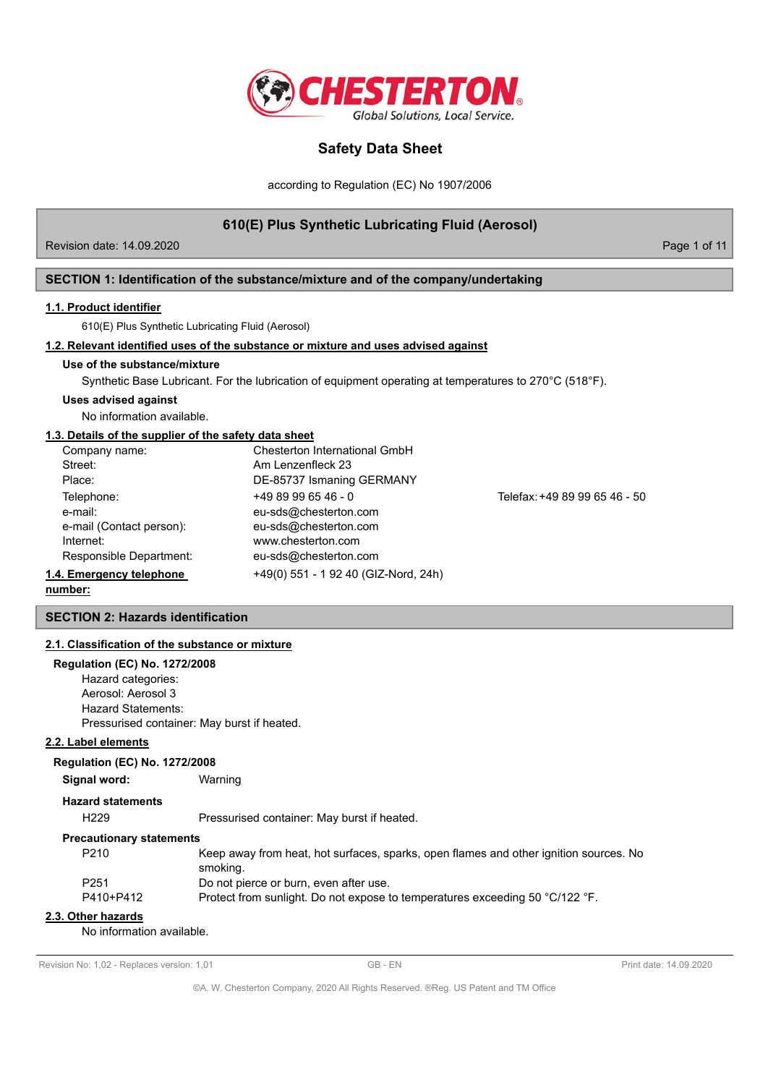

according to Regulation (EC) No 1907/2006

# **610(E) Plus Synthetic Lubricating Fluid (Aerosol)**

Revision date: 14.09.2020 Page 1 of 11

## **SECTION 1: Identification of the substance/mixture and of the company/undertaking**

#### **1.1. Product identifier**

610(E) Plus Synthetic Lubricating Fluid (Aerosol)

### **1.2. Relevant identified uses of the substance or mixture and uses advised against**

### **Use of the substance/mixture**

Synthetic Base Lubricant. For the lubrication of equipment operating at temperatures to 270°C (518°F).

#### **Uses advised against**

No information available.

### **1.3. Details of the supplier of the safety data sheet**

| Company name:            | Chesterton International GmbH        |                               |
|--------------------------|--------------------------------------|-------------------------------|
| Street:                  | Am Lenzenfleck 23                    |                               |
| Place:                   | DE-85737 Ismaning GERMANY            |                               |
| Telephone:               | $+4989996546 - 0$                    | Telefax: +49 89 99 65 46 - 50 |
| e-mail:                  | eu-sds@chesterton.com                |                               |
| e-mail (Contact person): | eu-sds@chesterton.com                |                               |
| Internet:                | www.chesterton.com                   |                               |
| Responsible Department:  | eu-sds@chesterton.com                |                               |
| 1.4. Emergency telephone | +49(0) 551 - 1 92 40 (GIZ-Nord, 24h) |                               |

**number:**

## **SECTION 2: Hazards identification**

#### **2.1. Classification of the substance or mixture**

## **Regulation (EC) No. 1272/2008**

Hazard categories: Aerosol: Aerosol 3 Hazard Statements: Pressurised container: May burst if heated.

#### **2.2. Label elements**

#### **Regulation (EC) No. 1272/2008**

**Signal word:** Warning

#### **Hazard statements**

H229 Pressurised container: May burst if heated.

#### **Precautionary statements**

| P <sub>210</sub> | Keep away from heat, hot surfaces, sparks, open flames and other ignition sources. No |
|------------------|---------------------------------------------------------------------------------------|
|                  | smoking.                                                                              |
| P <sub>251</sub> | Do not pierce or burn, even after use.                                                |
| P410+P412        | Protect from sunlight. Do not expose to temperatures exceeding 50 °C/122 °F.          |

# **2.3. Other hazards**

No information available.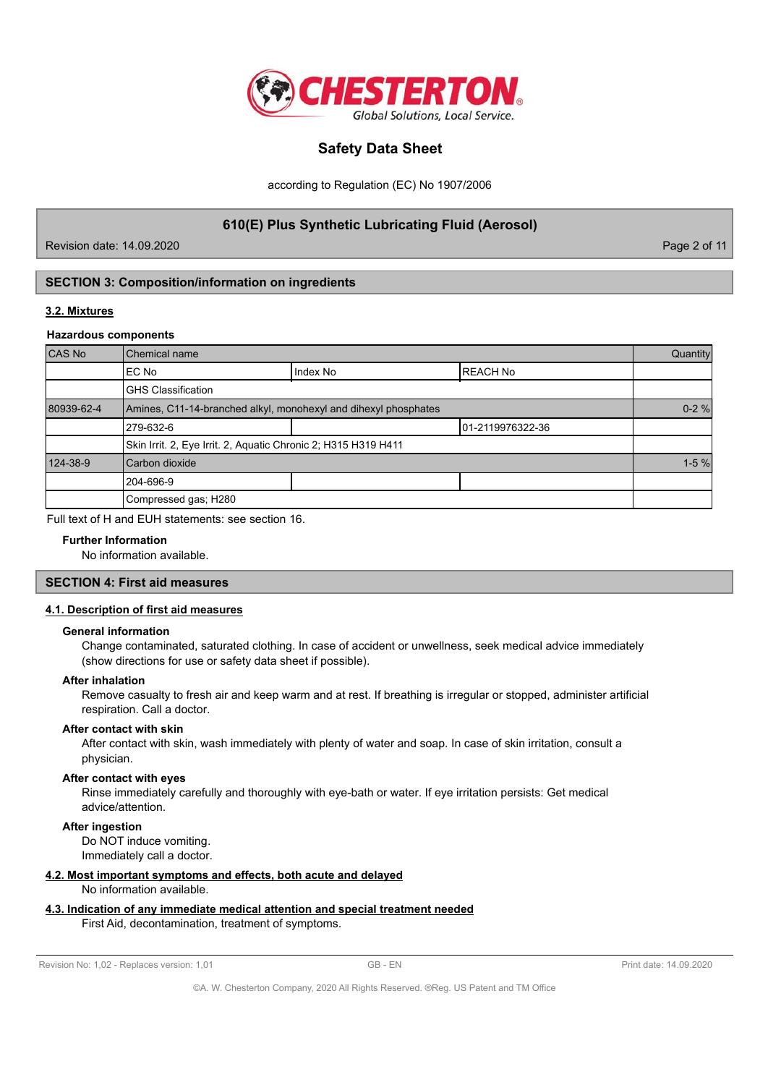

according to Regulation (EC) No 1907/2006

**610(E) Plus Synthetic Lubricating Fluid (Aerosol)**

Revision date: 14.09.2020 Page 2 of 11

# **SECTION 3: Composition/information on ingredients**

### **3.2. Mixtures**

#### **Hazardous components**

| CAS No     | Chemical name                                                   |          |                   |  |  |
|------------|-----------------------------------------------------------------|----------|-------------------|--|--|
|            | IEC No                                                          | Index No | <b>IREACH No</b>  |  |  |
|            | <b>GHS Classification</b>                                       |          |                   |  |  |
| 80939-62-4 | Amines, C11-14-branched alkyl, monohexyl and dihexyl phosphates |          |                   |  |  |
|            | 279-632-6                                                       |          | 101-2119976322-36 |  |  |
|            | Skin Irrit. 2, Eye Irrit. 2, Aquatic Chronic 2; H315 H319 H411  |          |                   |  |  |
| 124-38-9   | Carbon dioxide                                                  |          |                   |  |  |
|            | 204-696-9                                                       |          |                   |  |  |
|            | Compressed gas; H280                                            |          |                   |  |  |

Full text of H and EUH statements: see section 16.

# **Further Information**

No information available.

#### **SECTION 4: First aid measures**

### **4.1. Description of first aid measures**

#### **General information**

Change contaminated, saturated clothing. In case of accident or unwellness, seek medical advice immediately (show directions for use or safety data sheet if possible).

#### **After inhalation**

Remove casualty to fresh air and keep warm and at rest. If breathing is irregular or stopped, administer artificial respiration. Call a doctor.

#### **After contact with skin**

After contact with skin, wash immediately with plenty of water and soap. In case of skin irritation, consult a physician.

#### **After contact with eyes**

Rinse immediately carefully and thoroughly with eye-bath or water. If eye irritation persists: Get medical advice/attention.

## **After ingestion**

Do NOT induce vomiting. Immediately call a doctor.

#### **4.2. Most important symptoms and effects, both acute and delayed**

No information available.

## **4.3. Indication of any immediate medical attention and special treatment needed**

First Aid, decontamination, treatment of symptoms.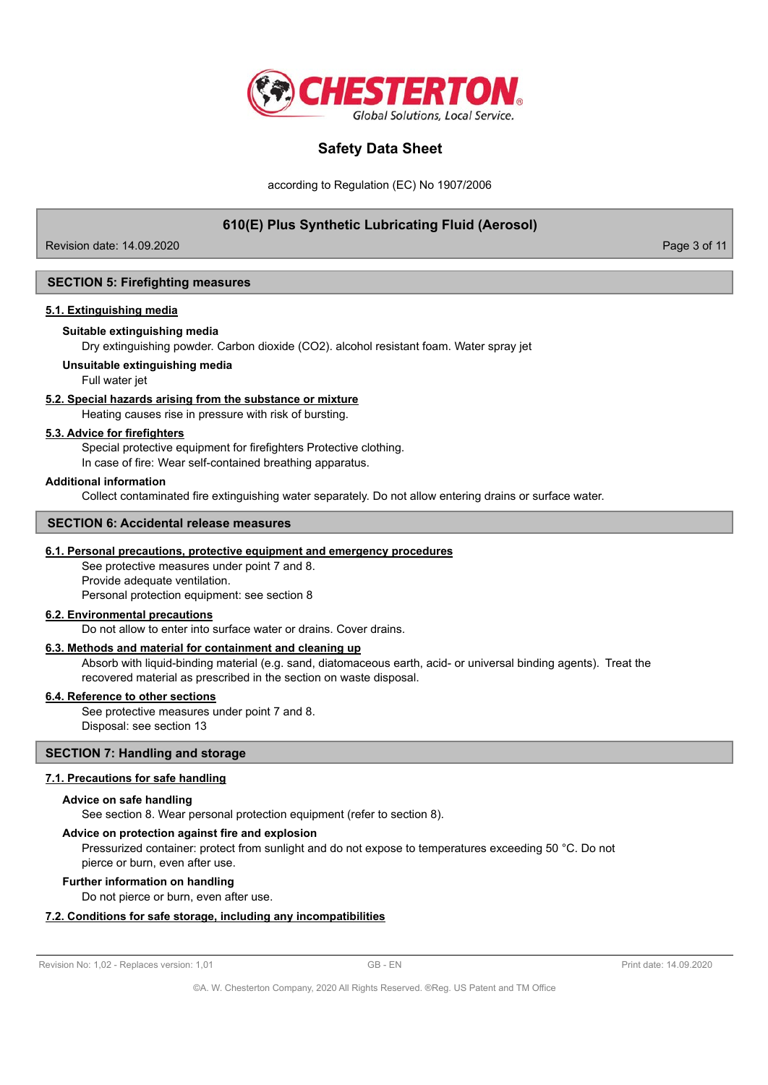

according to Regulation (EC) No 1907/2006

# **610(E) Plus Synthetic Lubricating Fluid (Aerosol)**

Revision date: 14.09.2020 Page 3 of 11

### **SECTION 5: Firefighting measures**

#### **5.1. Extinguishing media**

#### **Suitable extinguishing media**

Dry extinguishing powder. Carbon dioxide (CO2). alcohol resistant foam. Water spray jet

#### **Unsuitable extinguishing media**

Full water jet

#### **5.2. Special hazards arising from the substance or mixture**

Heating causes rise in pressure with risk of bursting.

#### **5.3. Advice for firefighters**

Special protective equipment for firefighters Protective clothing.

In case of fire: Wear self-contained breathing apparatus.

#### **Additional information**

Collect contaminated fire extinguishing water separately. Do not allow entering drains or surface water.

# **SECTION 6: Accidental release measures**

## **6.1. Personal precautions, protective equipment and emergency procedures**

See protective measures under point 7 and 8. Provide adequate ventilation. Personal protection equipment: see section 8

#### **6.2. Environmental precautions**

Do not allow to enter into surface water or drains. Cover drains.

# **6.3. Methods and material for containment and cleaning up**

Absorb with liquid-binding material (e.g. sand, diatomaceous earth, acid- or universal binding agents). Treat the recovered material as prescribed in the section on waste disposal.

#### **6.4. Reference to other sections**

See protective measures under point 7 and 8. Disposal: see section 13

## **SECTION 7: Handling and storage**

#### **7.1. Precautions for safe handling**

#### **Advice on safe handling**

See section 8. Wear personal protection equipment (refer to section 8).

## **Advice on protection against fire and explosion**

Pressurized container: protect from sunlight and do not expose to temperatures exceeding 50 °C. Do not pierce or burn, even after use.

#### **Further information on handling**

Do not pierce or burn, even after use.

#### **7.2. Conditions for safe storage, including any incompatibilities**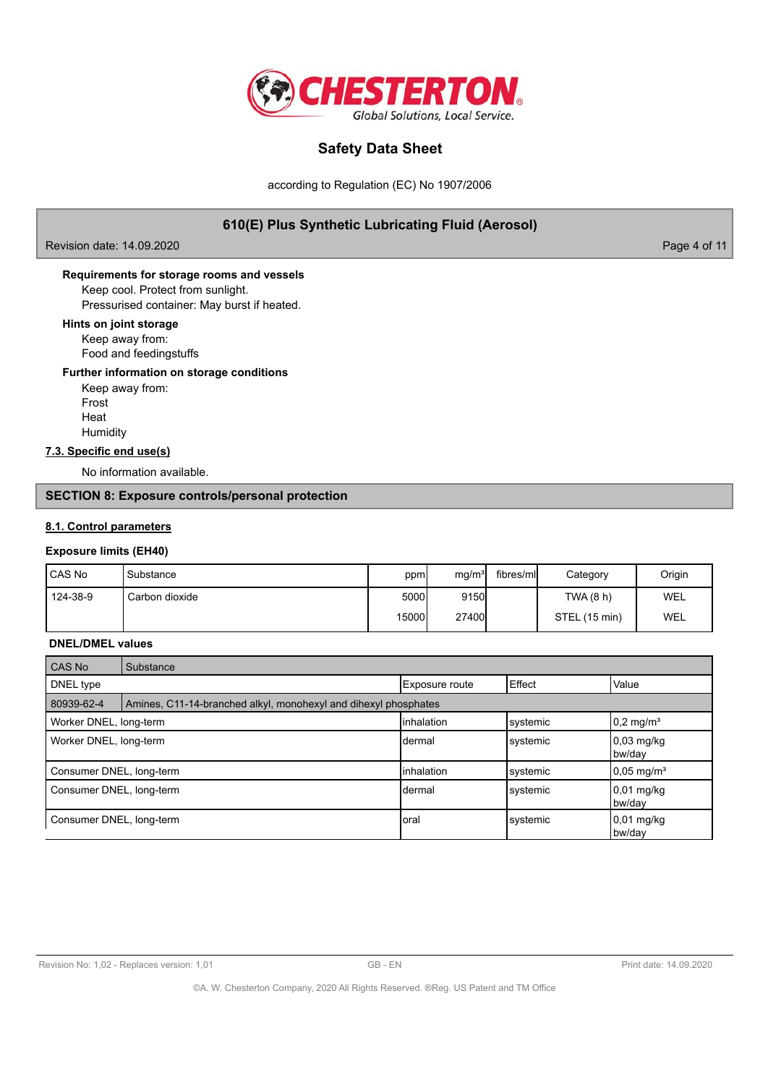

according to Regulation (EC) No 1907/2006

# **610(E) Plus Synthetic Lubricating Fluid (Aerosol)**

Revision date: 14.09.2020 **Page 4 of 11** 

# **Requirements for storage rooms and vessels**

Keep cool. Protect from sunlight. Pressurised container: May burst if heated.

# **Hints on joint storage**

Keep away from: Food and feedingstuffs

## **Further information on storage conditions**

Keep away from: Frost Heat **Humidity** 

# **7.3. Specific end use(s)**

No information available.

# **SECTION 8: Exposure controls/personal protection**

### **8.1. Control parameters**

## **Exposure limits (EH40)**

| l CAS No | l Substance    | ppm            | mq/m <sup>3</sup> | fibres/mll | Category      | Origin |
|----------|----------------|----------------|-------------------|------------|---------------|--------|
| 124-38-9 | Carbon dioxide | 5000           | 9150              |            | TWA (8 h)     | WEL    |
|          |                | 15000 <b>l</b> | 27400             |            | STEL (15 min) | WEL    |

#### **DNEL/DMEL values**

| <b>CAS No</b>            | Substance                                                       |                       |          |                                |
|--------------------------|-----------------------------------------------------------------|-----------------------|----------|--------------------------------|
| DNEL type                |                                                                 | <b>Exposure route</b> | Effect   | Value                          |
| 80939-62-4               | Amines, C11-14-branched alkyl, monohexyl and dihexyl phosphates |                       |          |                                |
| Worker DNEL, long-term   |                                                                 | linhalation           | systemic | $0.2 \text{ mg/m}^3$           |
| Worker DNEL, long-term   |                                                                 | Idermal               | systemic | $0.03 \text{ mg/kg}$<br>bw/day |
| Consumer DNEL, long-term |                                                                 | linhalation           | systemic | $0.05 \text{ mg/m}^3$          |
| Consumer DNEL, long-term |                                                                 | Idermal               | systemic | $0,01$ mg/kg<br>bw/day         |
| Consumer DNEL, long-term |                                                                 | Ioral                 | systemic | 0,01 mg/kg<br>bw/dav           |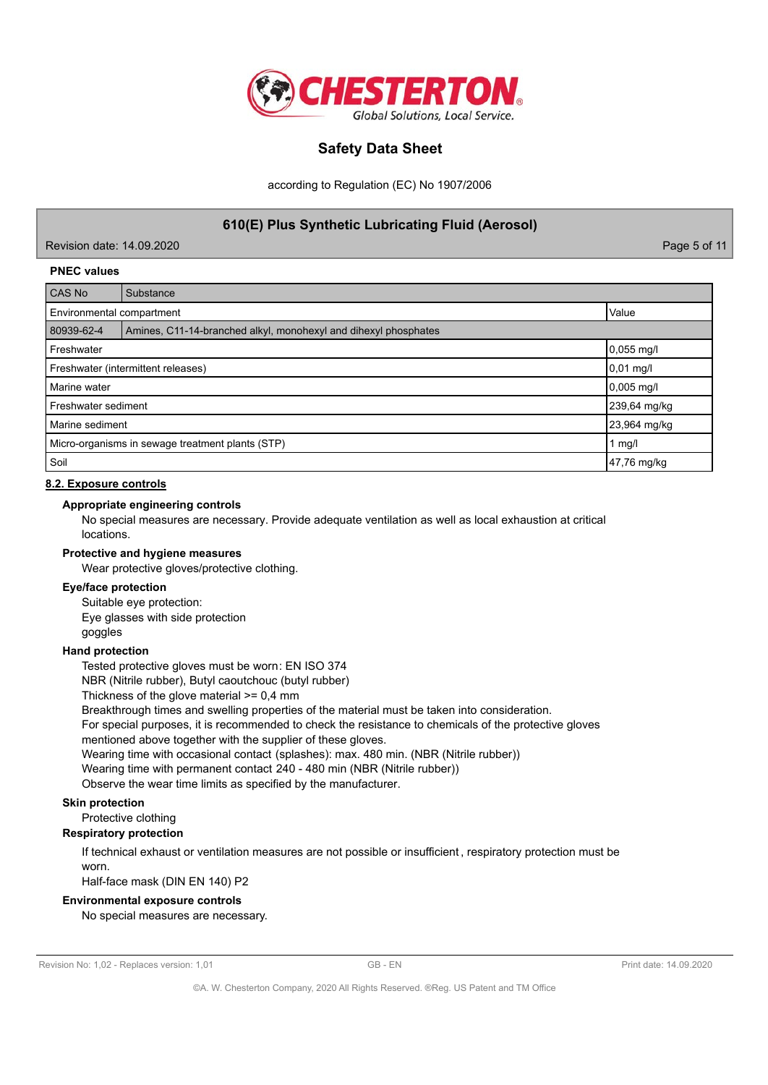

according to Regulation (EC) No 1907/2006

**610(E) Plus Synthetic Lubricating Fluid (Aerosol)**

Revision date: 14.09.2020 Page 5 of 11

### **PNEC values**

| CAS No                                           | Substance                                                       |             |  |  |  |
|--------------------------------------------------|-----------------------------------------------------------------|-------------|--|--|--|
|                                                  | Value<br>Environmental compartment                              |             |  |  |  |
| 80939-62-4                                       | Amines, C11-14-branched alkyl, monohexyl and dihexyl phosphates |             |  |  |  |
| Freshwater                                       |                                                                 | 0,055 mg/l  |  |  |  |
| 0,01 mg/l<br>Freshwater (intermittent releases)  |                                                                 |             |  |  |  |
| Marine water                                     |                                                                 | 0,005 mg/l  |  |  |  |
| Freshwater sediment                              | 239,64 mg/kg                                                    |             |  |  |  |
| Marine sediment                                  | 23,964 mg/kg                                                    |             |  |  |  |
| Micro-organisms in sewage treatment plants (STP) | 1 $mg/l$                                                        |             |  |  |  |
| Soil                                             |                                                                 | 47,76 mg/kg |  |  |  |

### **8.2. Exposure controls**

#### **Appropriate engineering controls**

No special measures are necessary. Provide adequate ventilation as well as local exhaustion at critical locations.

### **Protective and hygiene measures**

Wear protective gloves/protective clothing.

### **Eye/face protection**

Suitable eye protection: Eye glasses with side protection

goggles

#### **Hand protection**

Tested protective gloves must be worn: EN ISO 374

NBR (Nitrile rubber), Butyl caoutchouc (butyl rubber)

Thickness of the glove material >= 0,4 mm

Breakthrough times and swelling properties of the material must be taken into consideration.

For special purposes, it is recommended to check the resistance to chemicals of the protective gloves mentioned above together with the supplier of these gloves.

Wearing time with occasional contact (splashes): max. 480 min. (NBR (Nitrile rubber))

Wearing time with permanent contact 240 - 480 min (NBR (Nitrile rubber))

Observe the wear time limits as specified by the manufacturer.

# **Skin protection**

Protective clothing

# **Respiratory protection**

If technical exhaust or ventilation measures are not possible or insufficient , respiratory protection must be worn.

Half-face mask (DIN EN 140) P2

#### **Environmental exposure controls**

No special measures are necessary.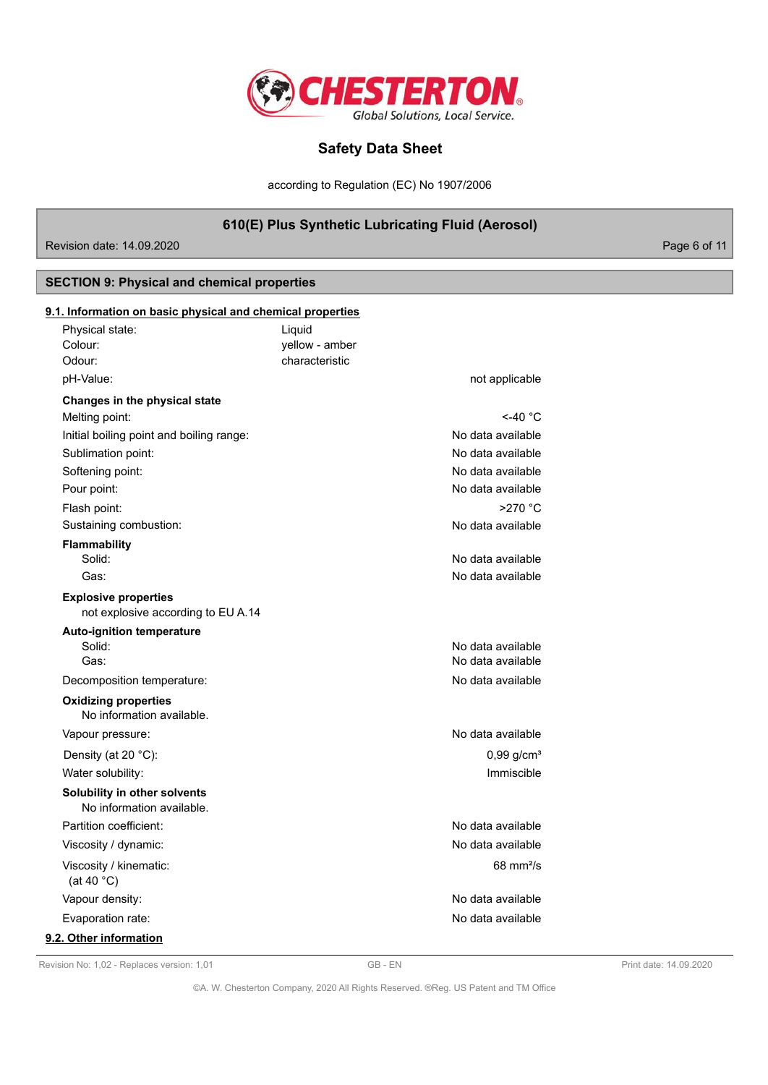

according to Regulation (EC) No 1907/2006

# **610(E) Plus Synthetic Lubricating Fluid (Aerosol)**

Revision date: 14.09.2020

# **SECTION 9: Physical and chemical properties**

| Physical state:                                                   | Liquid         |                          |
|-------------------------------------------------------------------|----------------|--------------------------|
| Colour:                                                           | yellow - amber |                          |
| Odour:                                                            | characteristic |                          |
| pH-Value:                                                         |                | not applicable           |
| Changes in the physical state                                     |                |                          |
| Melting point:                                                    |                | $<$ -40 °C               |
| Initial boiling point and boiling range:                          |                | No data available        |
| Sublimation point:                                                |                | No data available        |
| Softening point:                                                  |                | No data available        |
| Pour point:                                                       |                | No data available        |
| Flash point:                                                      |                | $>270$ °C                |
| Sustaining combustion:                                            |                | No data available        |
| Flammability                                                      |                |                          |
| Solid:                                                            |                | No data available        |
| Gas:                                                              |                | No data available        |
| <b>Explosive properties</b><br>not explosive according to EU A.14 |                |                          |
| <b>Auto-ignition temperature</b>                                  |                |                          |
| Solid:                                                            |                | No data available        |
| Gas:                                                              |                | No data available        |
| Decomposition temperature:                                        |                | No data available        |
| <b>Oxidizing properties</b><br>No information available.          |                |                          |
| Vapour pressure:                                                  |                | No data available        |
| Density (at 20 °C):                                               |                | $0.99$ g/cm <sup>3</sup> |
| Water solubility:                                                 |                | Immiscible               |
| Solubility in other solvents<br>No information available.         |                |                          |
| Partition coefficient:                                            |                | No data available        |
| Viscosity / dynamic:                                              |                | No data available        |
| Viscosity / kinematic:<br>(at 40 $^{\circ}$ C)                    |                | $68 \text{ mm}^2$ /s     |
| Vapour density:                                                   |                | No data available        |
| Evaporation rate:                                                 |                | No data available        |
| 9.2. Other information                                            |                |                          |

Revision No: 1,02 - Replaces version: 1,01 GB - EN GB - EN Print date: 14.09.2020

©A. W. Chesterton Company, 2020 All Rights Reserved. ®Reg. US Patent and TM Office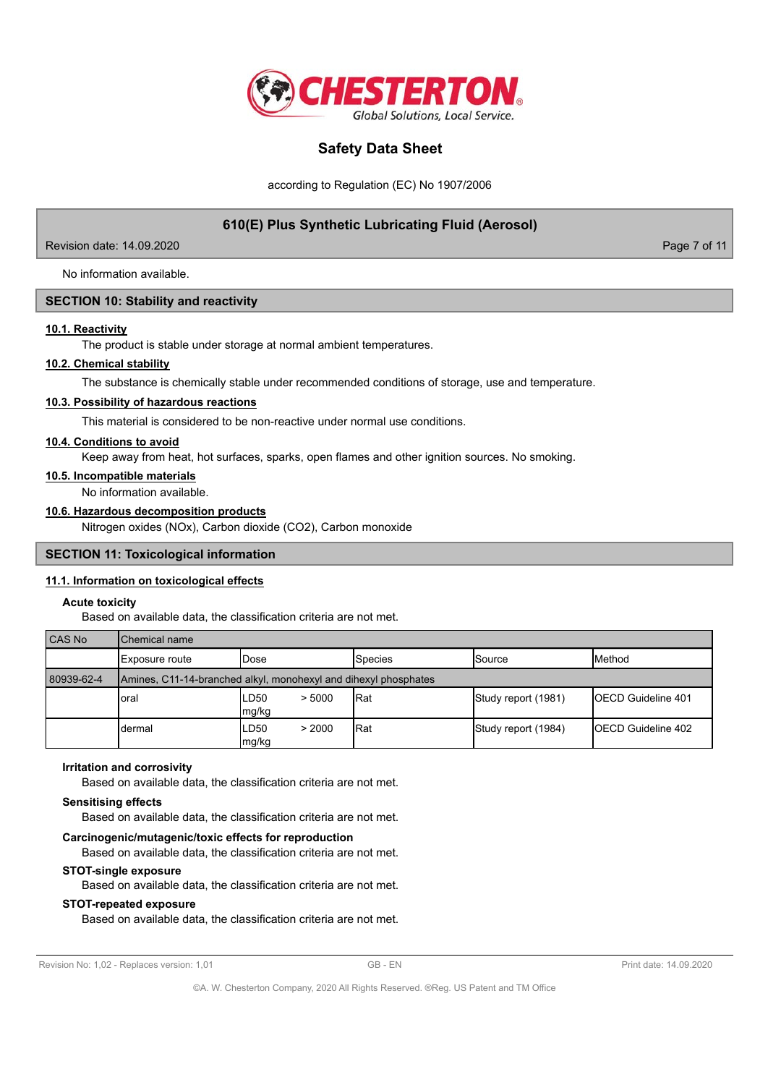

according to Regulation (EC) No 1907/2006

# **610(E) Plus Synthetic Lubricating Fluid (Aerosol)**

Revision date: 14.09.2020 Page 7 of 11

No information available.

### **SECTION 10: Stability and reactivity**

### **10.1. Reactivity**

The product is stable under storage at normal ambient temperatures.

### **10.2. Chemical stability**

The substance is chemically stable under recommended conditions of storage, use and temperature.

#### **10.3. Possibility of hazardous reactions**

This material is considered to be non-reactive under normal use conditions.

### **10.4. Conditions to avoid**

Keep away from heat, hot surfaces, sparks, open flames and other ignition sources. No smoking.

#### **10.5. Incompatible materials**

No information available.

# **10.6. Hazardous decomposition products**

Nitrogen oxides (NOx), Carbon dioxide (CO2), Carbon monoxide

#### **SECTION 11: Toxicological information**

#### **11.1. Information on toxicological effects**

#### **Acute toxicity**

Based on available data, the classification criteria are not met.

| <b>CAS No</b> | Chemical name                                                   |                         |                |                     |                            |  |  |
|---------------|-----------------------------------------------------------------|-------------------------|----------------|---------------------|----------------------------|--|--|
|               | Exposure route                                                  | IDose                   | <b>Species</b> | lSource             | <b>IMethod</b>             |  |  |
| 80939-62-4    | Amines, C11-14-branched alkyl, monohexyl and dihexyl phosphates |                         |                |                     |                            |  |  |
|               | loral                                                           | LD50<br>> 5000<br>mg/kg | <b>Rat</b>     | Study report (1981) | <b>IOECD Guideline 401</b> |  |  |
|               | dermal                                                          | LD50<br>> 2000<br>mg/kg | Rat            | Study report (1984) | <b>IOECD Guideline 402</b> |  |  |

#### **Irritation and corrosivity**

Based on available data, the classification criteria are not met.

#### **Sensitising effects**

Based on available data, the classification criteria are not met.

## **Carcinogenic/mutagenic/toxic effects for reproduction**

Based on available data, the classification criteria are not met.

#### **STOT-single exposure**

Based on available data, the classification criteria are not met.

## **STOT-repeated exposure**

Based on available data, the classification criteria are not met.

```
Revision No: 1,02 - Replaces version: 1,01 GB - EN GB - EN Print date: 14.09.2020
```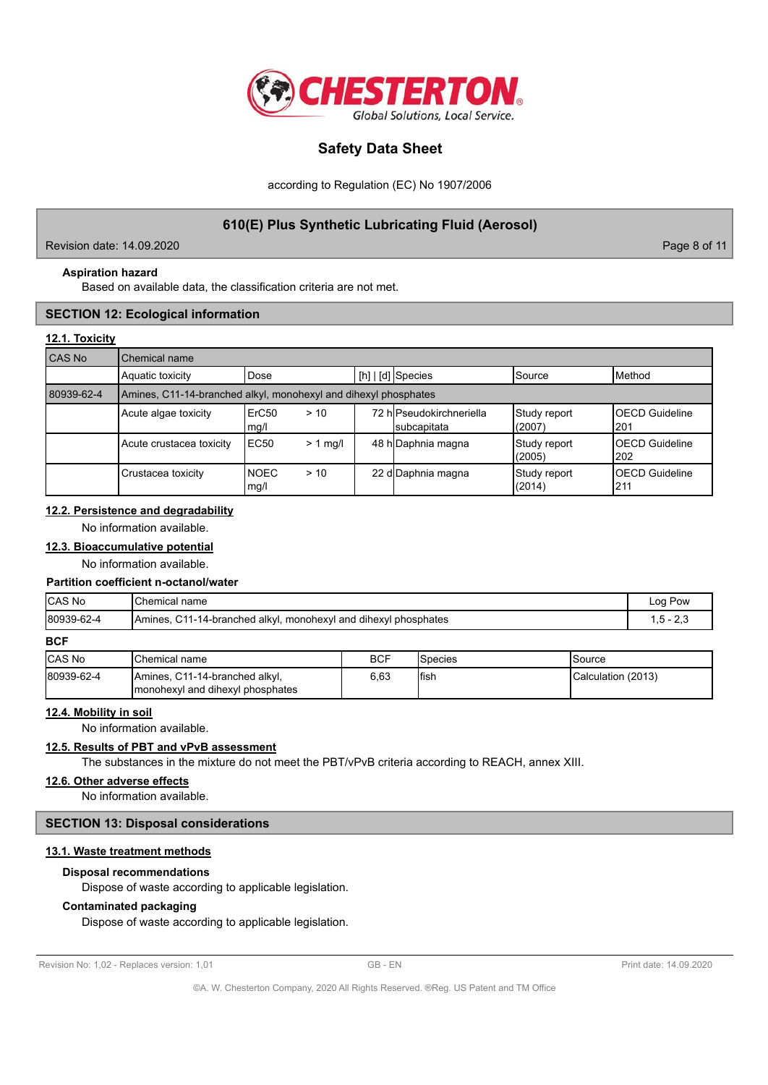

according to Regulation (EC) No 1907/2006

# **610(E) Plus Synthetic Lubricating Fluid (Aerosol)**

Revision date: 14.09.2020 Page 8 of 11

# **Aspiration hazard**

Based on available data, the classification criteria are not met.

# **SECTION 12: Ecological information**

## **12.1. Toxicity**

| CAS No     | Chemical name                                                   |                     |            |  |                                         |                        |                                |
|------------|-----------------------------------------------------------------|---------------------|------------|--|-----------------------------------------|------------------------|--------------------------------|
|            | Aquatic toxicity                                                | Dose                |            |  | [h]   [d] Species                       | <b>ISource</b>         | <b>I</b> Method                |
| 80939-62-4 | Amines, C11-14-branched alkyl, monohexyl and dihexyl phosphates |                     |            |  |                                         |                        |                                |
|            | Acute algae toxicity                                            | ErC50<br>mg/l       | > 10       |  | 72 hlPseudokirchneriella<br>subcapitata | Study report<br>(2007) | <b>OECD Guideline</b><br>I201  |
|            | Acute crustacea toxicity                                        | EC50                | $> 1$ mg/l |  | 48 h Daphnia magna                      | Study report<br>(2005) | <b>IOECD Guideline</b><br>l202 |
|            | Crustacea toxicity                                              | <b>NOEC</b><br>mg/l | > 10       |  | 22 d Daphnia magna                      | Study report<br>(2014) | <b>OECD Guideline</b><br>l211  |

# **12.2. Persistence and degradability**

No information available.

### **12.3. Bioaccumulative potential**

No information available.

#### **Partition coefficient n-octanol/water**

| <b>CAS No</b> | Chemical name                                                              | Loa Pow     |
|---------------|----------------------------------------------------------------------------|-------------|
| 80939-62-4    | . monohexyl and dihexyl phosphates<br>, C11-14-branched alkyl.<br>IAmines. | $\sim$<br>٠ |

**BCF**

| <b>CAS No</b> | lChemical name                                                     | <b>BCF</b> | <b>ISpecies</b> | lSource            |
|---------------|--------------------------------------------------------------------|------------|-----------------|--------------------|
| 80939-62-4    | Amines, C11-14-branched alkyl,<br>monohexyl and dihexyl phosphates | 6.63       | Ifish           | Calculation (2013) |

#### **12.4. Mobility in soil**

No information available.

# **12.5. Results of PBT and vPvB assessment**

The substances in the mixture do not meet the PBT/vPvB criteria according to REACH, annex XIII.

### **12.6. Other adverse effects**

No information available.

# **SECTION 13: Disposal considerations**

### **13.1. Waste treatment methods**

## **Disposal recommendations**

Dispose of waste according to applicable legislation.

## **Contaminated packaging**

Dispose of waste according to applicable legislation.

```
Revision No: 1,02 - Replaces version: 1,01 GB - EN GB - EN Print date: 14.09.2020
```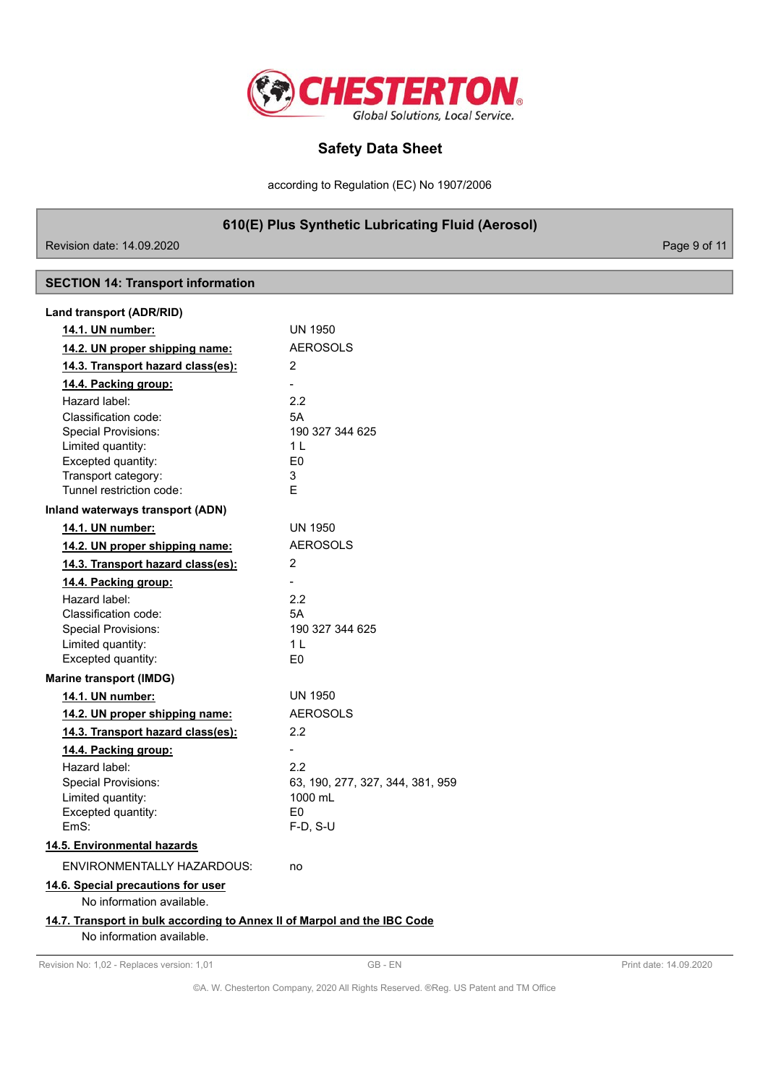

according to Regulation (EC) No 1907/2006

**610(E) Plus Synthetic Lubricating Fluid (Aerosol)**

Revision date: 14.09.2020

# **SECTION 14: Transport information**

| 14.1. UN number:                                                         | <b>UN 1950</b>                   |  |
|--------------------------------------------------------------------------|----------------------------------|--|
| 14.2. UN proper shipping name:                                           | <b>AEROSOLS</b>                  |  |
| 14.3. Transport hazard class(es):                                        | 2                                |  |
| 14.4. Packing group:                                                     | $\overline{\phantom{0}}$         |  |
| Hazard label:                                                            | 2.2                              |  |
| Classification code:                                                     | 5A                               |  |
| <b>Special Provisions:</b>                                               | 190 327 344 625                  |  |
| Limited quantity:                                                        | $1 \mid$                         |  |
| Excepted quantity:                                                       | F <sub>0</sub>                   |  |
| Transport category:                                                      | 3                                |  |
| Tunnel restriction code:                                                 | F.                               |  |
| Inland waterways transport (ADN)                                         |                                  |  |
| 14.1. UN number:                                                         | <b>UN 1950</b>                   |  |
| 14.2. UN proper shipping name:                                           | <b>AEROSOLS</b>                  |  |
| 14.3. Transport hazard class(es):                                        | 2                                |  |
| 14.4. Packing group:                                                     |                                  |  |
| Hazard label:                                                            | 2.2                              |  |
| Classification code:                                                     | 5A                               |  |
| <b>Special Provisions:</b>                                               | 190 327 344 625                  |  |
| Limited quantity:                                                        | 1 <sub>L</sub>                   |  |
| Excepted quantity:                                                       | E <sub>0</sub>                   |  |
| <b>Marine transport (IMDG)</b>                                           |                                  |  |
| 14.1. UN number:                                                         | <b>UN 1950</b>                   |  |
| 14.2. UN proper shipping name:                                           | <b>AEROSOLS</b>                  |  |
| 14.3. Transport hazard class(es):                                        | 2.2                              |  |
| 14.4. Packing group:                                                     |                                  |  |
| Hazard label:                                                            | 22                               |  |
| <b>Special Provisions:</b>                                               | 63, 190, 277, 327, 344, 381, 959 |  |
| Limited quantity:                                                        | 1000 mL                          |  |
| Excepted quantity:                                                       | F0                               |  |
| EmS:                                                                     | $F-D, S-U$                       |  |
| 14.5. Environmental hazards                                              |                                  |  |
| ENVIRONMENTALLY HAZARDOUS:                                               | no                               |  |
| 14.6. Special precautions for user                                       |                                  |  |
| No information available.                                                |                                  |  |
| 14.7. Transport in bulk according to Annex II of Marpol and the IBC Code |                                  |  |
| No information available.                                                |                                  |  |
|                                                                          |                                  |  |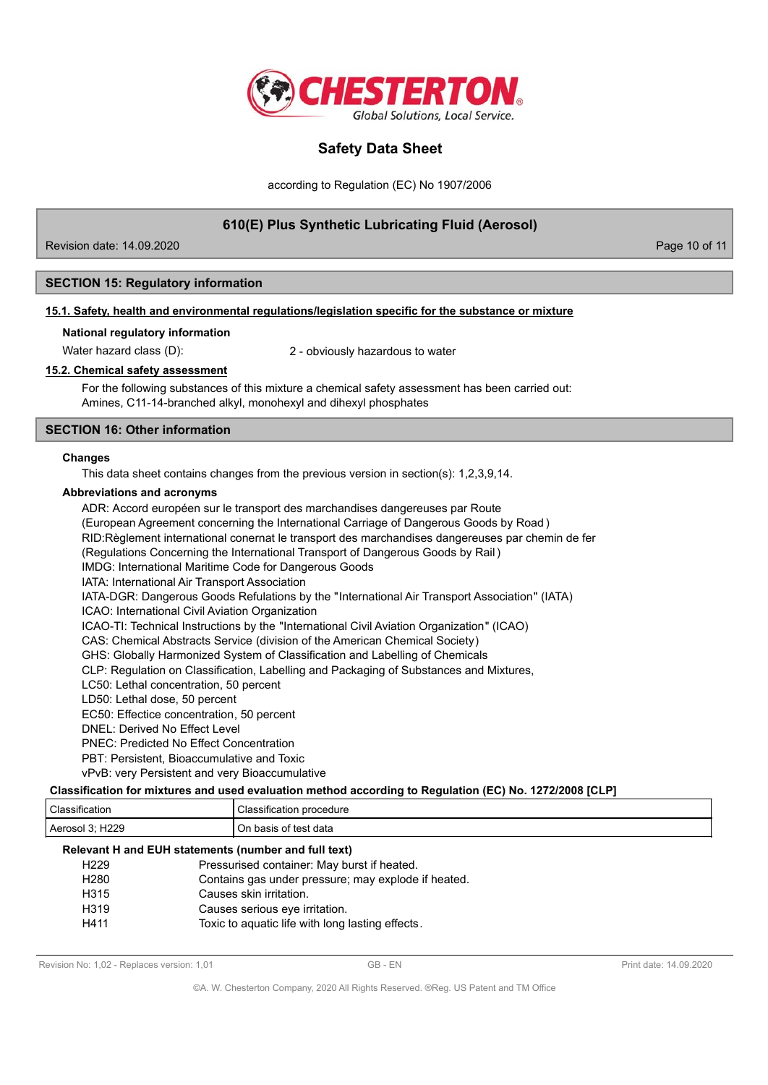

according to Regulation (EC) No 1907/2006

# **610(E) Plus Synthetic Lubricating Fluid (Aerosol)**

Revision date: 14.09.2020 **Page 10 of 11** New York 2012 12:00 Page 10 of 11

## **SECTION 15: Regulatory information**

#### **15.1. Safety, health and environmental regulations/legislation specific for the substance or mixture**

#### **National regulatory information**

Water hazard class (D): 2 - obviously hazardous to water

### **15.2. Chemical safety assessment**

For the following substances of this mixture a chemical safety assessment has been carried out: Amines, C11-14-branched alkyl, monohexyl and dihexyl phosphates

## **SECTION 16: Other information**

#### **Changes**

This data sheet contains changes from the previous version in section(s): 1,2,3,9,14.

#### **Abbreviations and acronyms**

ADR: Accord européen sur le transport des marchandises dangereuses par Route (European Agreement concerning the International Carriage of Dangerous Goods by Road ) RID:Règlement international conernat le transport des marchandises dangereuses par chemin de fer (Regulations Concerning the International Transport of Dangerous Goods by Rail ) IMDG: International Maritime Code for Dangerous Goods IATA: International Air Transport Association IATA-DGR: Dangerous Goods Refulations by the "International Air Transport Association" (IATA) ICAO: International Civil Aviation Organization ICAO-TI: Technical Instructions by the "International Civil Aviation Organization" (ICAO) CAS: Chemical Abstracts Service (division of the American Chemical Society) GHS: Globally Harmonized System of Classification and Labelling of Chemicals CLP: Regulation on Classification, Labelling and Packaging of Substances and Mixtures, LC50: Lethal concentration, 50 percent LD50: Lethal dose, 50 percent EC50: Effectice concentration, 50 percent DNEL: Derived No Effect Level PNEC: Predicted No Effect Concentration PBT: Persistent, Bioaccumulative and Toxic

vPvB: very Persistent and very Bioaccumulative

# **Classification for mixtures and used evaluation method according to Regulation (EC) No. 1272/2008 [CLP]**

| $\sim$<br>sification        | sification<br>າ procedure<br>and the contract of the contract of the contract of the contract of the contract of the contract of the contract of the contract of the contract of the contract of the contract of the contract of the contract of the contra |
|-----------------------------|-------------------------------------------------------------------------------------------------------------------------------------------------------------------------------------------------------------------------------------------------------------|
| H <sub>229</sub><br>Aerosol | data<br>of test.<br>basis<br>J۳                                                                                                                                                                                                                             |

#### **Relevant H and EUH statements (number and full text)**

| H <sub>229</sub> | Pressurised container: May burst if heated.         |
|------------------|-----------------------------------------------------|
| H <sub>280</sub> | Contains gas under pressure; may explode if heated. |
| H <sub>315</sub> | Causes skin irritation.                             |
| H <sub>319</sub> | Causes serious eye irritation.                      |
| H411             | Toxic to aquatic life with long lasting effects.    |
|                  |                                                     |